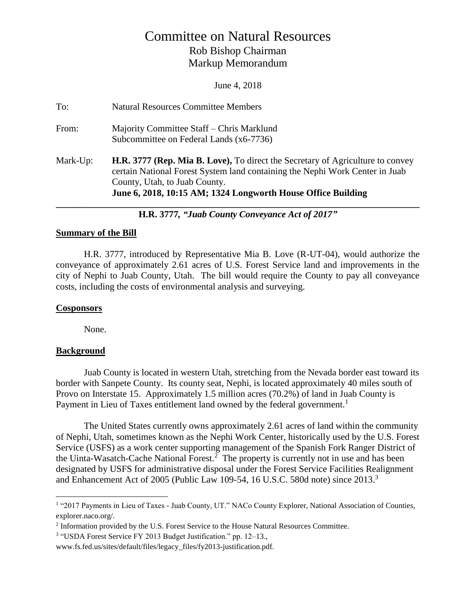# Committee on Natural Resources Rob Bishop Chairman Markup Memorandum

June 4, 2018

| To:      | <b>Natural Resources Committee Members</b>                                                                                                                                                                                                                             |
|----------|------------------------------------------------------------------------------------------------------------------------------------------------------------------------------------------------------------------------------------------------------------------------|
| From:    | Majority Committee Staff – Chris Marklund<br>Subcommittee on Federal Lands (x6-7736)                                                                                                                                                                                   |
| Mark-Up: | <b>H.R. 3777 (Rep. Mia B. Love),</b> To direct the Secretary of Agriculture to convey<br>certain National Forest System land containing the Nephi Work Center in Juab<br>County, Utah, to Juab County.<br>June 6, 2018, 10:15 AM; 1324 Longworth House Office Building |

**H.R. 3777***, "Juab County Conveyance Act of 2017"*

#### **Summary of the Bill**

H.R. 3777, introduced by Representative Mia B. Love (R-UT-04), would authorize the conveyance of approximately 2.61 acres of U.S. Forest Service land and improvements in the city of Nephi to Juab County, Utah. The bill would require the County to pay all conveyance costs, including the costs of environmental analysis and surveying.

### **Cosponsors**

None.

#### **Background**

 $\overline{a}$ 

Juab County is located in western Utah, stretching from the Nevada border east toward its border with Sanpete County. Its county seat, Nephi, is located approximately 40 miles south of Provo on Interstate 15. Approximately 1.5 million acres (70.2%) of land in Juab County is Payment in Lieu of Taxes entitlement land owned by the federal government.<sup>1</sup>

The United States currently owns approximately 2.61 acres of land within the community of Nephi, Utah, sometimes known as the Nephi Work Center, historically used by the U.S. Forest Service (USFS) as a work center supporting management of the Spanish Fork Ranger District of the Uinta-Wasatch-Cache National Forest.<sup>2</sup> The property is currently not in use and has been designated by USFS for administrative disposal under the Forest Service Facilities Realignment and Enhancement Act of 2005 (Public Law 109-54, 16 U.S.C. 580d note) since 2013.<sup>3</sup>

<sup>&</sup>lt;sup>1</sup> "2017 Payments in Lieu of Taxes - Juab County, UT." NACo County Explorer, National Association of Counties, explorer.naco.org/.

 $2$  Information provided by the U.S. Forest Service to the House Natural Resources Committee.

<sup>3</sup> "USDA Forest Service FY 2013 Budget Justification." pp. 12–13.,

www.fs.fed.us/sites/default/files/legacy\_files/fy2013-justification.pdf.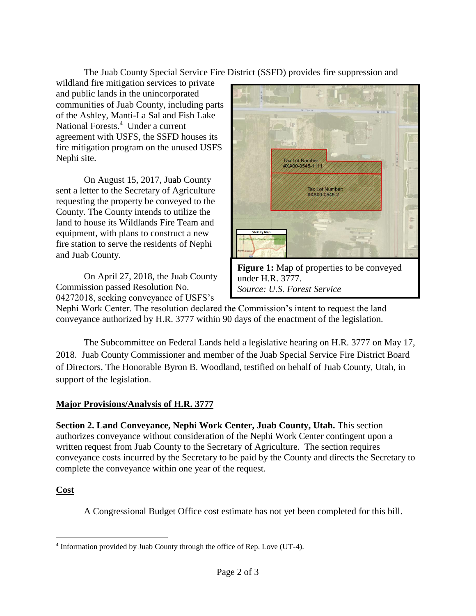The Juab County Special Service Fire District (SSFD) provides fire suppression and

wildland fire mitigation services to private and public lands in the unincorporated communities of Juab County, including parts of the Ashley, Manti-La Sal and Fish Lake National Forests.<sup>4</sup> Under a current agreement with USFS, the SSFD houses its fire mitigation program on the unused USFS Nephi site.

On August 15, 2017, Juab County sent a letter to the Secretary of Agriculture requesting the property be conveyed to the County. The County intends to utilize the land to house its Wildlands Fire Team and equipment, with plans to construct a new fire station to serve the residents of Nephi and Juab County.

On April 27, 2018, the Juab County Commission passed Resolution No. 04272018, seeking conveyance of USFS's



Nephi Work Center. The resolution declared the Commission's intent to request the land conveyance authorized by H.R. 3777 within 90 days of the enactment of the legislation.

The Subcommittee on Federal Lands held a legislative hearing on H.R. 3777 on May 17, 2018. Juab County Commissioner and member of the Juab Special Service Fire District Board of Directors, The Honorable Byron B. Woodland, testified on behalf of Juab County, Utah, in support of the legislation.

# **Major Provisions/Analysis of H.R. 3777**

**Section 2. Land Conveyance, Nephi Work Center, Juab County, Utah.** This section authorizes conveyance without consideration of the Nephi Work Center contingent upon a written request from Juab County to the Secretary of Agriculture. The section requires conveyance costs incurred by the Secretary to be paid by the County and directs the Secretary to complete the conveyance within one year of the request.

# **Cost**

A Congressional Budget Office cost estimate has not yet been completed for this bill.

 4 Information provided by Juab County through the office of Rep. Love (UT-4).